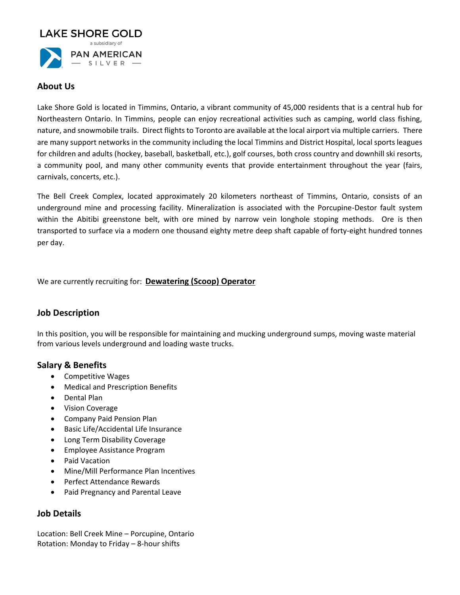

### **About Us**

Lake Shore Gold is located in Timmins, Ontario, a vibrant community of 45,000 residents that is a central hub for Northeastern Ontario. In Timmins, people can enjoy recreational activities such as camping, world class fishing, nature, and snowmobile trails. Direct flights to Toronto are available at the local airport via multiple carriers. There are many support networks in the community including the local Timmins and District Hospital, local sports leagues for children and adults (hockey, baseball, basketball, etc.), golf courses, both cross country and downhill ski resorts, a community pool, and many other community events that provide entertainment throughout the year (fairs, carnivals, concerts, etc.).

The Bell Creek Complex, located approximately 20 kilometers northeast of Timmins, Ontario, consists of an underground mine and processing facility. Mineralization is associated with the Porcupine-Destor fault system within the Abitibi greenstone belt, with ore mined by narrow vein longhole stoping methods. Ore is then transported to surface via a modern one thousand eighty metre deep shaft capable of forty-eight hundred tonnes per day.

We are currently recruiting for: **Dewatering (Scoop) Operator**

# **Job Description**

In this position, you will be responsible for maintaining and mucking underground sumps, moving waste material from various levels underground and loading waste trucks.

### **Salary & Benefits**

- Competitive Wages
- Medical and Prescription Benefits
- Dental Plan
- Vision Coverage
- Company Paid Pension Plan
- Basic Life/Accidental Life Insurance
- Long Term Disability Coverage
- Employee Assistance Program
- Paid Vacation
- Mine/Mill Performance Plan Incentives
- Perfect Attendance Rewards
- Paid Pregnancy and Parental Leave

### **Job Details**

Location: Bell Creek Mine – Porcupine, Ontario Rotation: Monday to Friday – 8-hour shifts